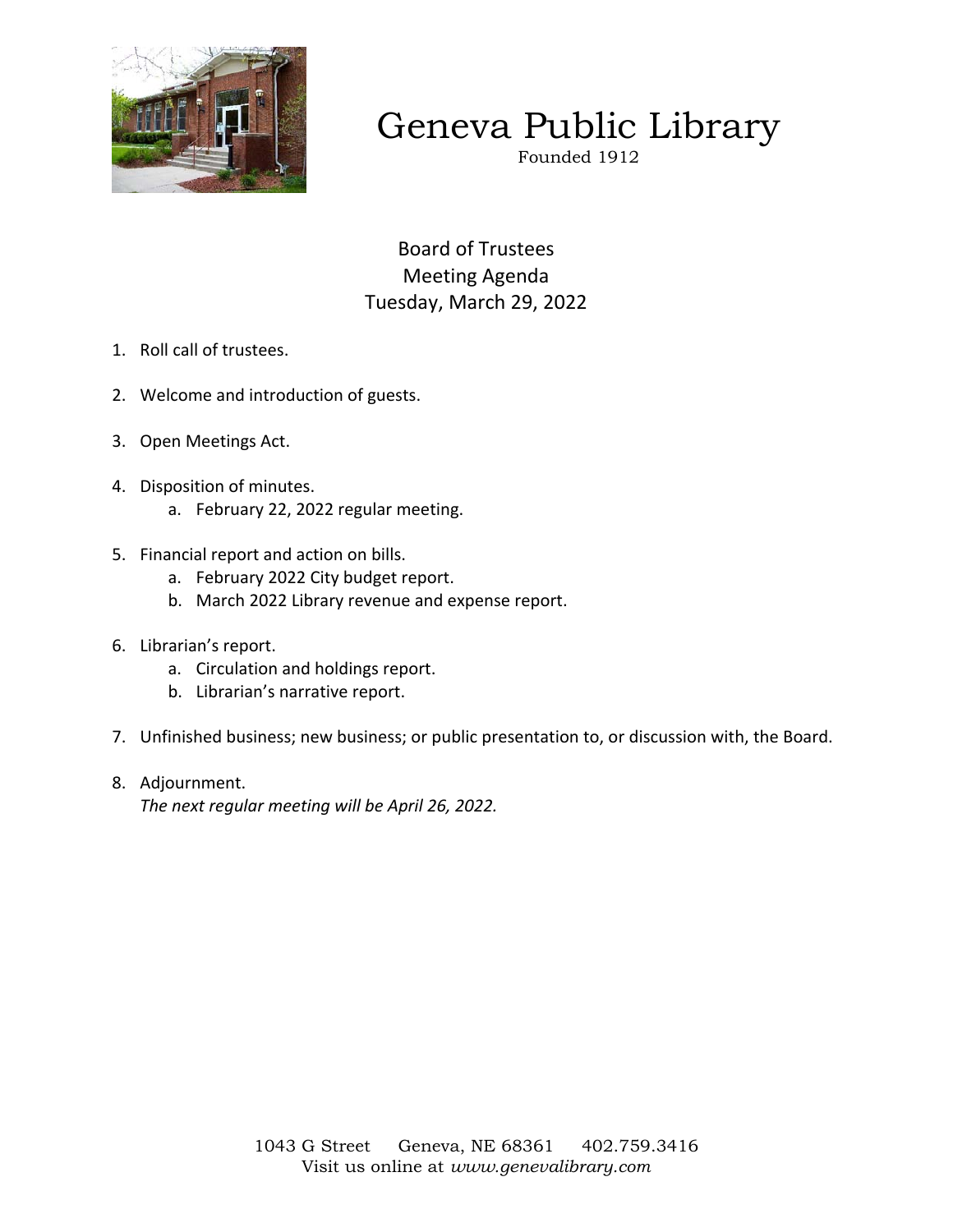

# Geneva Public Library

Founded 1912

Board of Trustees Meeting Agenda Tuesday, March 29, 2022

- 1. Roll call of trustees.
- 2. Welcome and introduction of guests.
- 3. Open Meetings Act.
- 4. Disposition of minutes.
	- a. February 22, 2022 regular meeting.
- 5. Financial report and action on bills.
	- a. February 2022 City budget report.
	- b. March 2022 Library revenue and expense report.
- 6. Librarian's report.
	- a. Circulation and holdings report.
	- b. Librarian's narrative report.
- 7. Unfinished business; new business; or public presentation to, or discussion with, the Board.
- 8. Adjournment.

*The next regular meeting will be April 26, 2022.*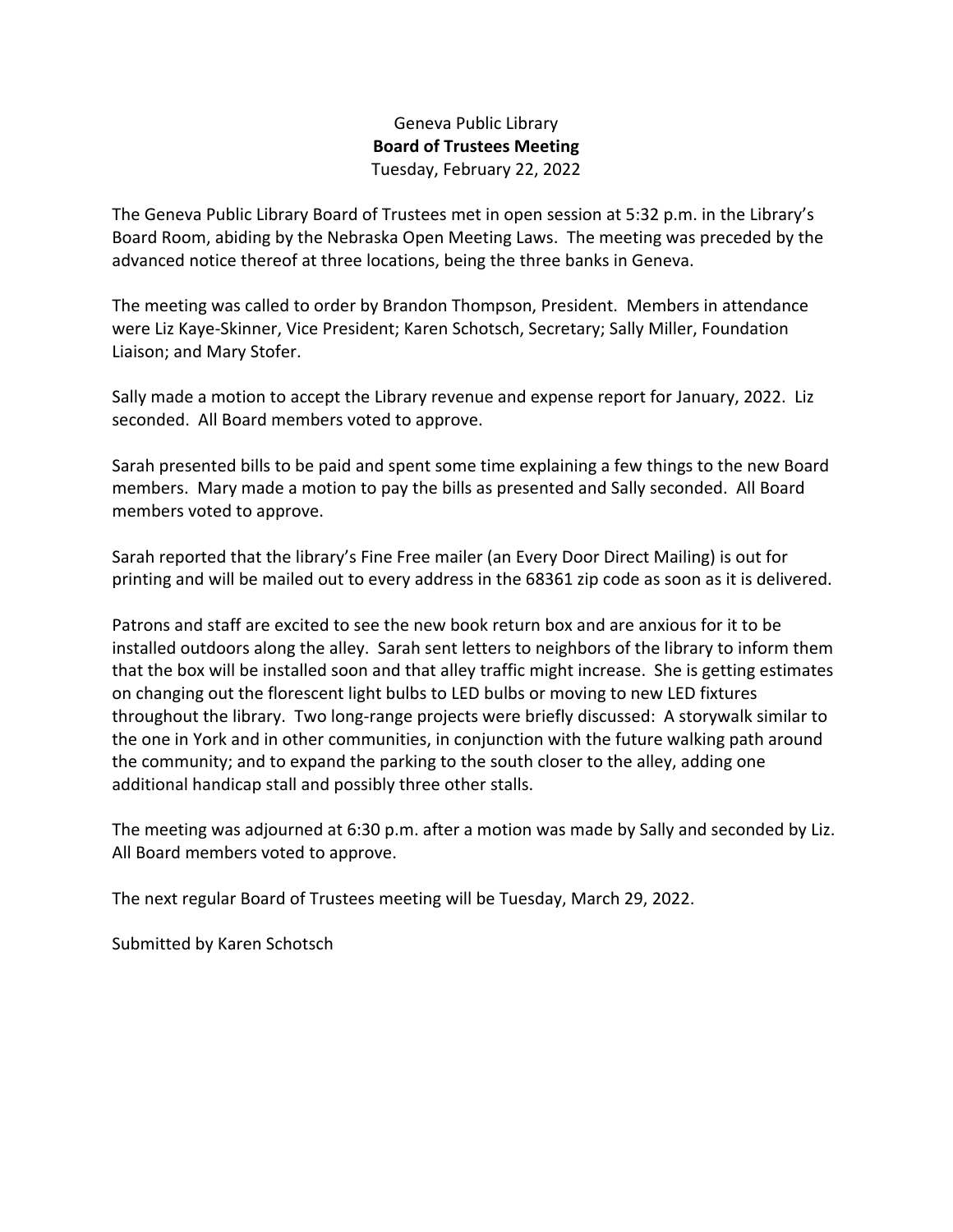## Geneva Public Library **Board of Trustees Meeting**  Tuesday, February 22, 2022

The Geneva Public Library Board of Trustees met in open session at 5:32 p.m. in the Library's Board Room, abiding by the Nebraska Open Meeting Laws. The meeting was preceded by the advanced notice thereof at three locations, being the three banks in Geneva.

The meeting was called to order by Brandon Thompson, President. Members in attendance were Liz Kaye-Skinner, Vice President; Karen Schotsch, Secretary; Sally Miller, Foundation Liaison; and Mary Stofer.

Sally made a motion to accept the Library revenue and expense report for January, 2022. Liz seconded. All Board members voted to approve.

Sarah presented bills to be paid and spent some time explaining a few things to the new Board members. Mary made a motion to pay the bills as presented and Sally seconded. All Board members voted to approve.

Sarah reported that the library's Fine Free mailer (an Every Door Direct Mailing) is out for printing and will be mailed out to every address in the 68361 zip code as soon as it is delivered.

Patrons and staff are excited to see the new book return box and are anxious for it to be installed outdoors along the alley. Sarah sent letters to neighbors of the library to inform them that the box will be installed soon and that alley traffic might increase. She is getting estimates on changing out the florescent light bulbs to LED bulbs or moving to new LED fixtures throughout the library. Two long-range projects were briefly discussed: A storywalk similar to the one in York and in other communities, in conjunction with the future walking path around the community; and to expand the parking to the south closer to the alley, adding one additional handicap stall and possibly three other stalls.

The meeting was adjourned at 6:30 p.m. after a motion was made by Sally and seconded by Liz. All Board members voted to approve.

The next regular Board of Trustees meeting will be Tuesday, March 29, 2022.

Submitted by Karen Schotsch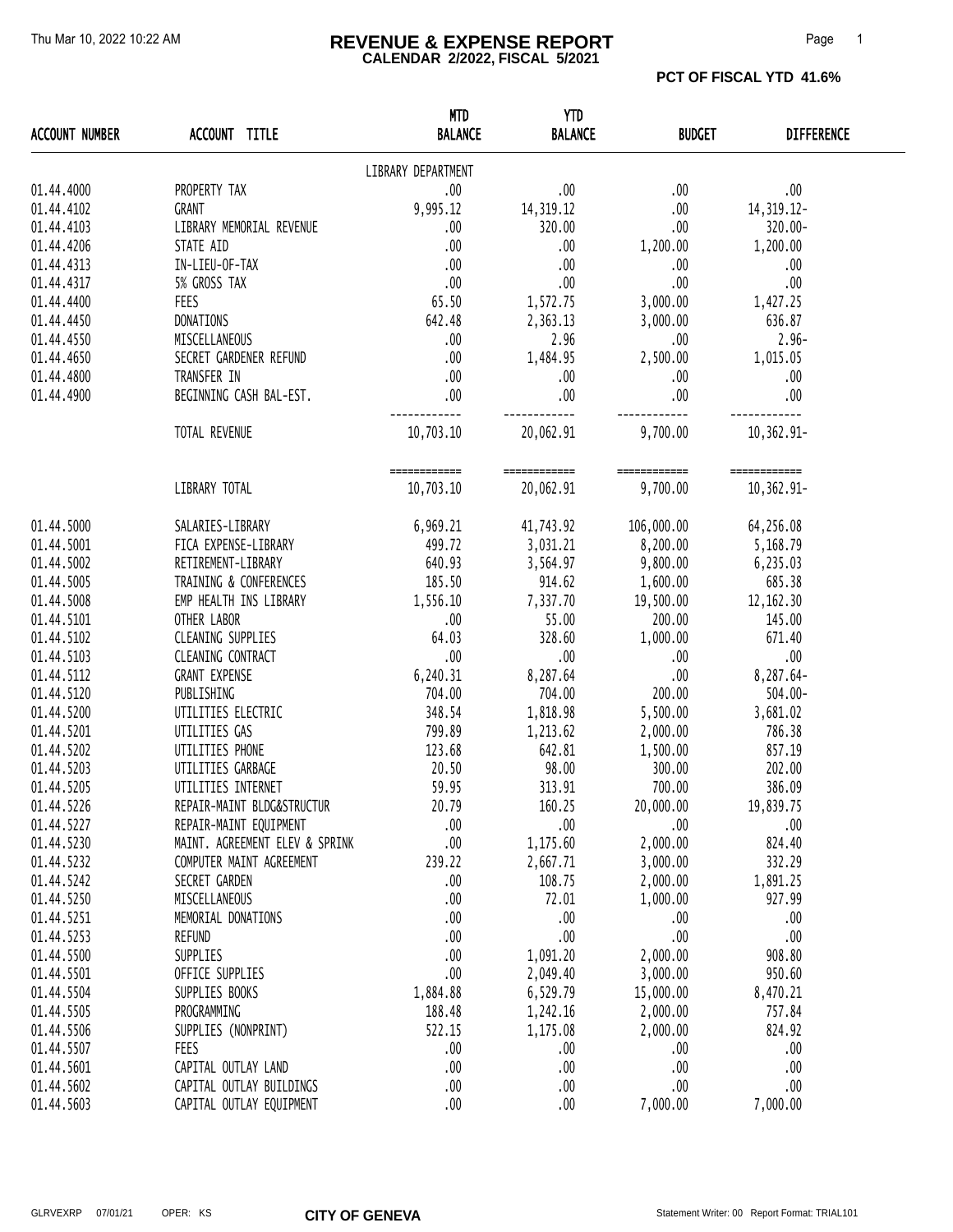#### Thu Mar 10, 2022 10:22 AM **REVENUE & EXPENSE REPORT** Page 1 **CALENDAR 2/2022, FISCAL 5/2021**

| <b>ACCOUNT NUMBER</b> | ACCOUNT TITLE                  | <b>MTD</b><br><b>BALANCE</b> | <b>YTD</b><br><b>BALANCE</b> | <b>BUDGET</b> | <b>DIFFERENCE</b> |
|-----------------------|--------------------------------|------------------------------|------------------------------|---------------|-------------------|
|                       |                                | LIBRARY DEPARTMENT           |                              |               |                   |
| 01.44.4000            | PROPERTY TAX                   | .00.                         | .00.                         | .00           | $.00$             |
| 01.44.4102            | GRANT                          | 9,995.12                     | 14, 319.12                   | .00           | 14, 319. 12-      |
| 01.44.4103            | LIBRARY MEMORIAL REVENUE       | .00                          | 320.00                       | .00.          | 320.00-           |
| 01.44.4206            | STATE AID                      | .00                          | .00.                         | 1,200.00      | 1,200.00          |
| 01.44.4313            | IN-LIEU-OF-TAX                 | .00                          | .00.                         | .00.          | .00               |
| 01.44.4317            | 5% GROSS TAX                   | .00                          | .00                          | .00           | .00               |
| 01.44.4400            | <b>FEES</b>                    | 65.50                        | 1,572.75                     | 3,000.00      | 1,427.25          |
| 01.44.4450            | DONATIONS                      | 642.48                       | 2,363.13                     | 3,000.00      | 636.87            |
| 01.44.4550            | MISCELLANEOUS                  | .00.                         | 2.96                         | .00.          | $2.96 -$          |
| 01.44.4650            | SECRET GARDENER REFUND         | .00                          | 1,484.95                     | 2,500.00      | 1,015.05          |
| 01.44.4800            | TRANSFER IN                    | .00                          | .00.                         | .00.          | .00               |
| 01.44.4900            | BEGINNING CASH BAL-EST.        | .00                          | .00                          | .00           | .00               |
|                       | TOTAL REVENUE                  | 10,703.10                    | 20,062.91                    | 9,700.00      | 10,362.91-        |
|                       |                                | ============                 | ============                 | ============  | ============      |
|                       | LIBRARY TOTAL                  | 10,703.10                    | 20,062.91                    | 9,700.00      | 10,362.91-        |
| 01.44.5000            | SALARIES-LIBRARY               | 6,969.21                     | 41,743.92 106,000.00         |               | 64,256.08         |
| 01.44.5001            | FICA EXPENSE-LIBRARY           | 499.72                       | 3,031.21                     | 8,200.00      | 5,168.79          |
| 01.44.5002            | RETIREMENT-LIBRARY             | 640.93                       | 3,564.97                     | 9,800.00      | 6,235.03          |
| 01.44.5005            | TRAINING & CONFERENCES         | 185.50                       | 914.62                       | 1,600.00      | 685.38            |
| 01.44.5008            | EMP HEALTH INS LIBRARY         | 1,556.10                     | 7,337.70                     | 19,500.00     | 12, 162.30        |
| 01.44.5101            | OTHER LABOR                    | .00                          | 55.00                        | 200.00        | 145.00            |
| 01.44.5102            | CLEANING SUPPLIES              | 64.03                        | 328.60                       | 1,000.00      | 671.40            |
| 01.44.5103            | CLEANING CONTRACT              | .00                          | .00.                         | .00           | .00               |
| 01.44.5112            | <b>GRANT EXPENSE</b>           | 6,240.31                     | 8,287.64                     | .00           | 8,287.64-         |
| 01.44.5120            | PUBLISHING                     | 704.00                       | 704.00                       | 200.00        | $504.00 -$        |
| 01.44.5200            | UTILITIES ELECTRIC             | 348.54                       | 1,818.98                     | 5,500.00      | 3,681.02          |
| 01.44.5201            | UTILITIES GAS                  | 799.89                       | 1,213.62                     | 2,000.00      | 786.38            |
| 01.44.5202            | UTILITIES PHONE                | 123.68                       | 642.81                       | 1,500.00      | 857.19            |
| 01.44.5203            | UTILITIES GARBAGE              | 20.50                        | 98.00                        | 300.00        | 202.00            |
| 01.44.5205            | UTILITIES INTERNET             | 59.95                        | 313.91                       | 700.00        | 386.09            |
| 01.44.5226            | REPAIR-MAINT BLDG&STRUCTUR     | 20.79                        | 160.25                       | 20,000.00     | 19,839.75         |
| 01.44.5227            | REPAIR-MAINT EQUIPMENT         | 00.                          | .00                          | .00           | .00               |
| 01.44.5230            | MAINT. AGREEMENT ELEV & SPRINK | .00.                         | 1,175.60                     | 2,000.00      | 824.40            |
| 01.44.5232            | COMPUTER MAINT AGREEMENT       | 239.22                       | 2,667.71                     | 3,000.00      | 332.29            |
| 01.44.5242            | SECRET GARDEN                  | .00                          | 108.75                       | 2,000.00      | 1,891.25          |
| 01.44.5250            | MISCELLANEOUS                  | 00.                          | 72.01                        | 1,000.00      | 927.99            |
| 01.44.5251            | MEMORIAL DONATIONS             | 00.                          | .00                          | .00           | .00               |
| 01.44.5253            | <b>REFUND</b>                  | 00.                          | .00                          | .00           | .00               |
| 01.44.5500            | SUPPLIES                       | .00                          | 1,091.20                     | 2,000.00      | 908.80            |
| 01.44.5501            | OFFICE SUPPLIES                | .00                          | 2,049.40                     | 3,000.00      | 950.60            |
| 01.44.5504            | SUPPLIES BOOKS                 | 1,884.88                     | 6,529.79                     | 15,000.00     | 8,470.21          |
| 01.44.5505            | PROGRAMMING                    | 188.48                       | 1,242.16                     | 2,000.00      | 757.84            |
| 01.44.5506            | SUPPLIES (NONPRINT)            | 522.15                       | 1,175.08                     | 2,000.00      | 824.92            |
| 01.44.5507            | FEES                           | 00.                          | .00                          | .00           | .00               |
| 01.44.5601            | CAPITAL OUTLAY LAND            | 00.                          | .00                          | .00           | .00               |
| 01.44.5602            | CAPITAL OUTLAY BUILDINGS       | .00.                         | .00                          | .00           | .00               |
| 01.44.5603            | CAPITAL OUTLAY EQUIPMENT       | .00.                         | .00.                         | 7,000.00      | 7,000.00          |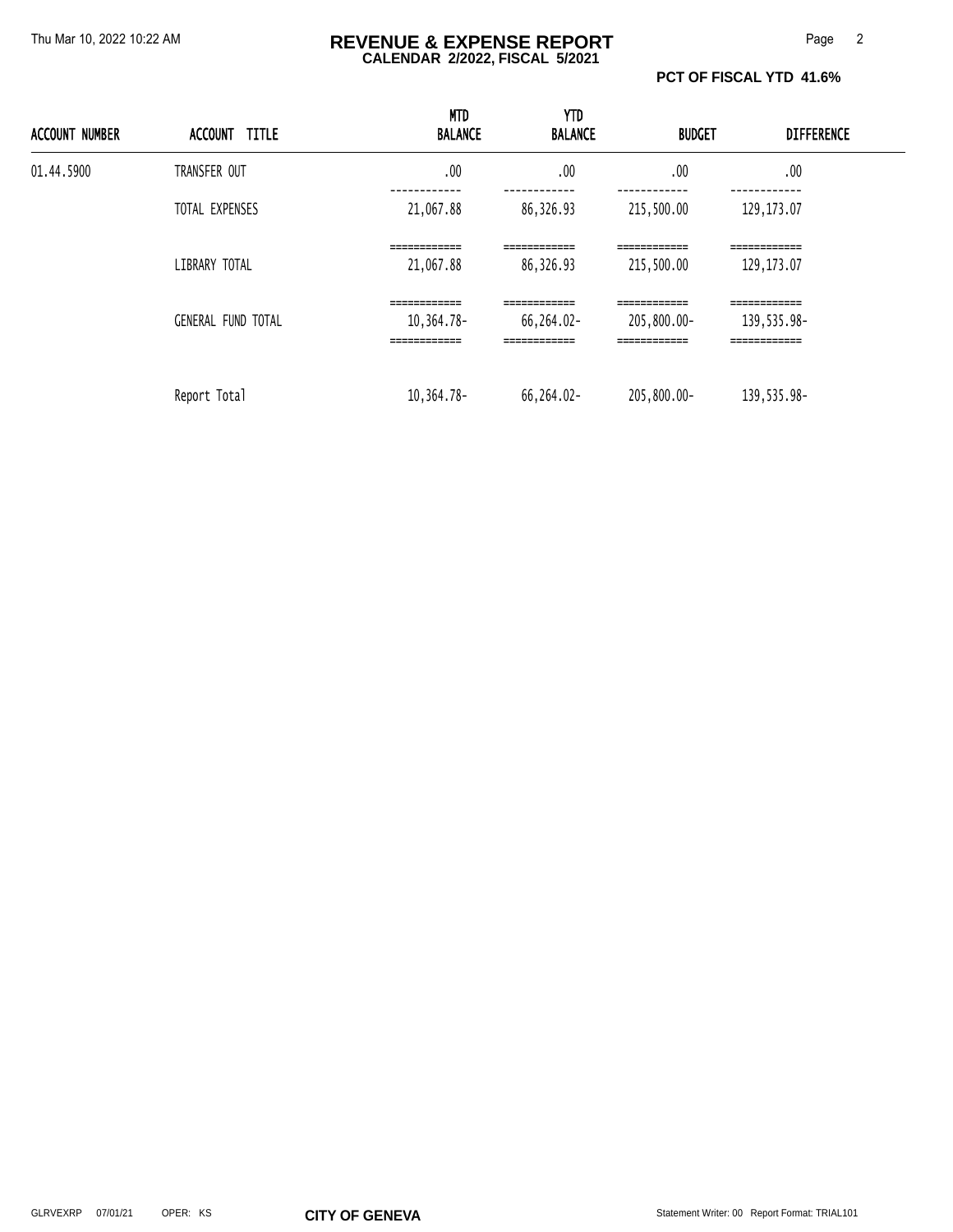#### Thu Mar 10, 2022 10:22 AM **REVENUE & EXPENSE REPORT** Page 2 **CALENDAR 2/2022, FISCAL 5/2021**

**PCT OF FISCAL YTD 41.6%** 

| <b>ACCOUNT NUMBER</b> | ACCOUNT TITLE             | <b>MTD</b><br><b>BALANCE</b>                                            | <b>YTD</b><br><b>BALANCE</b>                              | <b>BUDGET</b>                                              | <b>DIFFERENCE</b>                                                           |  |
|-----------------------|---------------------------|-------------------------------------------------------------------------|-----------------------------------------------------------|------------------------------------------------------------|-----------------------------------------------------------------------------|--|
| 01.44.5900            | TRANSFER OUT              | .00                                                                     | .00                                                       | .00                                                        | .00                                                                         |  |
|                       | TOTAL EXPENSES            | 21,067.88                                                               | 86,326.93                                                 | 215,500.00                                                 | ---------<br>129, 173.07                                                    |  |
|                       | LIBRARY TOTAL             | ============<br>21,067.88                                               | ============<br>86,326.93                                 | ============<br>215,500.00                                 | ============<br>129, 173.07                                                 |  |
|                       | <b>GENERAL FUND TOTAL</b> | ------------<br>_________<br>10,364.78-<br>------------<br>------------ | ------------<br>66,264.02-<br>------------<br>___________ | ------------<br>205,800.00-<br>------------<br>___________ | -------------<br>___________<br>139,535.98-<br>------------<br>------------ |  |
|                       | Report Total              | $10, 364.78 -$                                                          | 66,264.02-                                                | 205,800.00-                                                | 139,535.98-                                                                 |  |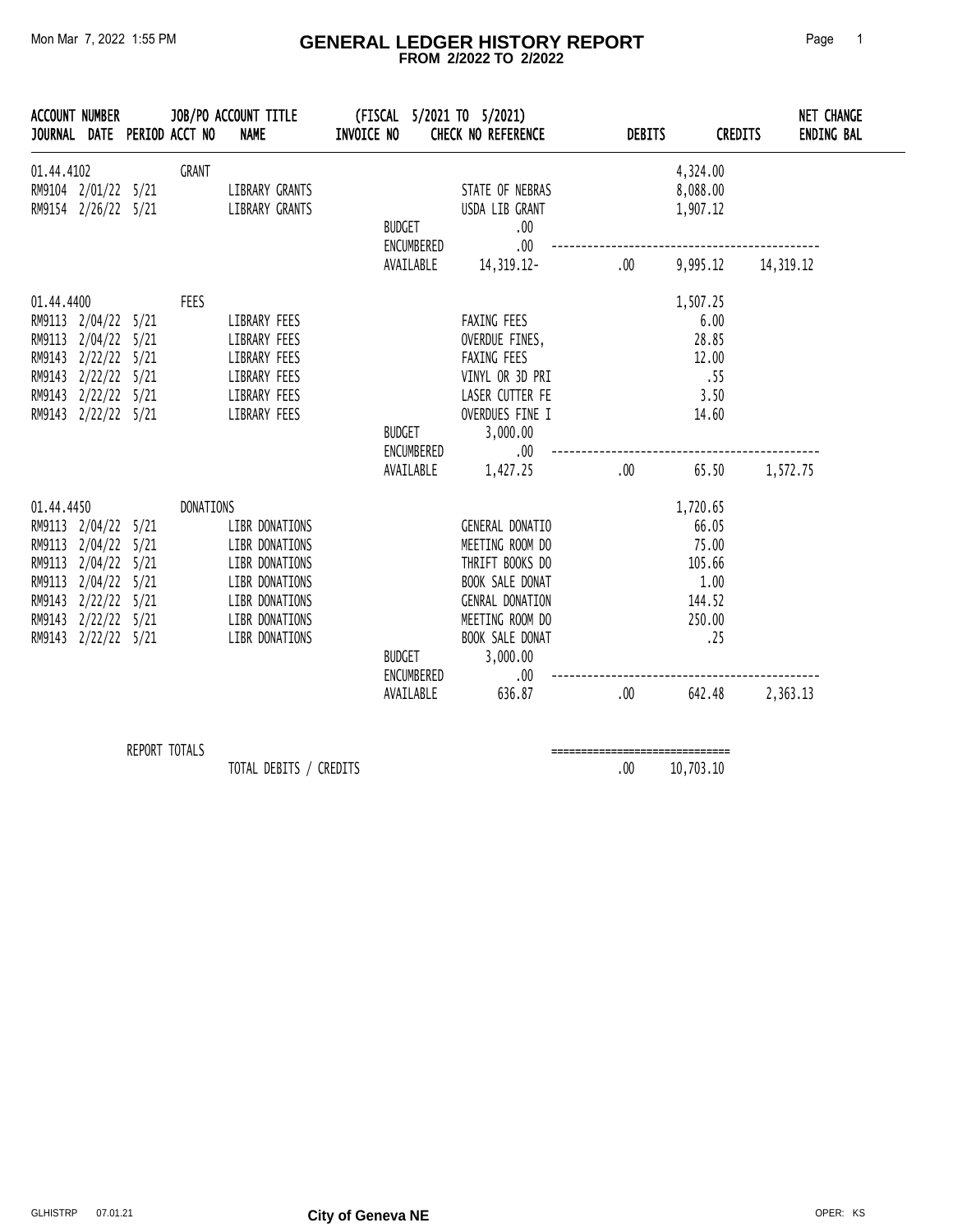#### Mon Mar 7, 2022 1:55 PM **GENERAL LEDGER HISTORY REPORT** Page 1  **FROM 2/2022 TO 2/2022**

| <b>ACCOUNT NUMBER</b><br>JOURNAL DATE PERIOD ACCT NO                                                                                                                        |               | JOB/PO ACCOUNT TITLE<br><b>NAME</b>                                                                                        | INVOICE NO    |                             | (FISCAL 5/2021 TO 5/2021)<br><b>CHECK NO REFERENCE</b>                                                                                                                                             | <b>DEBITS</b>                   | <b>CREDITS</b>                                                                    |          | <b>NET CHANGE</b><br><b>ENDING BAL</b> |
|-----------------------------------------------------------------------------------------------------------------------------------------------------------------------------|---------------|----------------------------------------------------------------------------------------------------------------------------|---------------|-----------------------------|----------------------------------------------------------------------------------------------------------------------------------------------------------------------------------------------------|---------------------------------|-----------------------------------------------------------------------------------|----------|----------------------------------------|
| 01.44.4102<br>RM9104 2/01/22 5/21<br>RM9154 2/26/22 5/21                                                                                                                    | GRANT         | LIBRARY GRANTS<br>LIBRARY GRANTS                                                                                           | BUDGET        | ENCUMBERED                  | STATE OF NEBRAS<br>USDA LIB GRANT<br>.00.<br>$.00 \,$                                                                                                                                              |                                 | 4,324.00<br>8,088.00<br>1,907.12                                                  |          |                                        |
|                                                                                                                                                                             |               |                                                                                                                            |               |                             | AVAILABLE 14, 319.12-                                                                                                                                                                              |                                 | $.00 \qquad 9,995.12 \qquad 14,319.12$                                            |          |                                        |
| 01.44.4400<br>RM9113 2/04/22 5/21<br>RM9113 2/04/22 5/21<br>RM9143 2/22/22 5/21<br>RM9143 2/22/22 5/21<br>RM9143 2/22/22 5/21<br>RM9143 2/22/22 5/21                        | FEES          | LIBRARY FEES<br>LIBRARY FEES<br>LIBRARY FEES<br>LIBRARY FEES<br>LIBRARY FEES<br>LIBRARY FEES                               |               | <b>BUDGET</b><br>ENCUMBERED | FAXING FEES<br>OVERDUE FINES,<br>FAXING FEES<br>VINYL OR 3D PRI<br>LASER CUTTER FE<br>OVERDUES FINE I<br>3,000.00<br>$.00\,$                                                                       |                                 | 1,507.25<br>6.00<br>28.85<br>12.00<br>.55<br>3.50<br>14.60                        |          |                                        |
|                                                                                                                                                                             |               |                                                                                                                            |               |                             | AVAILABLE 1,427.25                                                                                                                                                                                 | $.00 \,$                        | 65.50                                                                             | 1,572.75 |                                        |
| 01.44.4450<br>RM9113 2/04/22 5/21<br>RM9113 2/04/22 5/21<br>RM9113 2/04/22 5/21<br>RM9113 2/04/22 5/21<br>RM9143 2/22/22 5/21<br>RM9143 2/22/22 5/21<br>RM9143 2/22/22 5/21 | DONATIONS     | LIBR DONATIONS<br>LIBR DONATIONS<br>LIBR DONATIONS<br>LIBR DONATIONS<br>LIBR DONATIONS<br>LIBR DONATIONS<br>LIBR DONATIONS | <b>BUDGET</b> |                             | GENERAL DONATIO<br>MEETING ROOM DO<br>THRIFT BOOKS DO<br>BOOK SALE DONAT<br><b>GENRAL DONATION</b><br>MEETING ROOM DO<br>BOOK SALE DONAT<br>3,000.00<br>ENCUMBERED<br>$.00 \,$<br>AVAILABLE 636.87 | .00.                            | 1,720.65<br>66.05<br>75.00<br>105.66<br>1.00<br>144.52<br>250.00<br>.25<br>642.48 | 2,363.13 |                                        |
|                                                                                                                                                                             |               |                                                                                                                            |               |                             |                                                                                                                                                                                                    |                                 |                                                                                   |          |                                        |
|                                                                                                                                                                             | REPORT TOTALS |                                                                                                                            |               |                             |                                                                                                                                                                                                    | =============================== |                                                                                   |          |                                        |

TOTAL DEBITS / CREDITS 6 00 10,703.10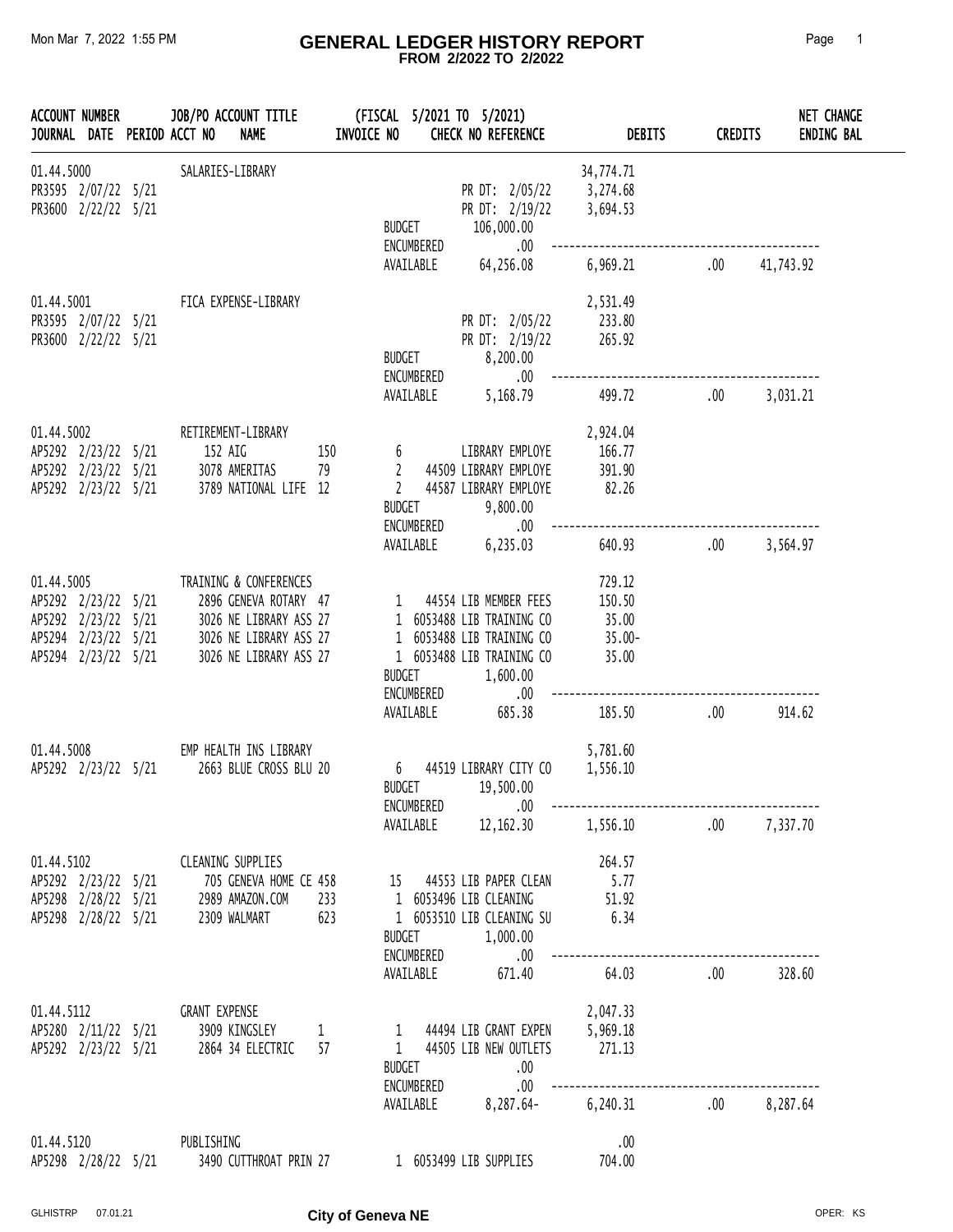#### Mon Mar 7, 2022 1:55 PM **GENERAL LEDGER HISTORY REPORT** Page 1  **FROM 2/2022 TO 2/2022**

| <b>ACCOUNT NUMBER</b><br>JOURNAL DATE PERIOD ACCT NO                                                   |  | JOB/PO ACCOUNT TITLE<br><b>NAME</b>                                                                                           |                    | (FISCAL 5/2021 TO 5/2021)<br>INVOICE NO                | CHECK NO REFERENCE                                                                                                              | <b>DEBITS</b>                                   | <b>CREDITS</b> | NET CHANGE<br><b>ENDING BAL</b> |
|--------------------------------------------------------------------------------------------------------|--|-------------------------------------------------------------------------------------------------------------------------------|--------------------|--------------------------------------------------------|---------------------------------------------------------------------------------------------------------------------------------|-------------------------------------------------|----------------|---------------------------------|
| 01.44.5000<br>PR3595 2/07/22 5/21<br>PR3600 2/22/22 5/21                                               |  | SALARIES-LIBRARY                                                                                                              |                    | <b>BUDGET</b><br>ENCUMBERED                            | PR DT: 2/05/22<br>PR DT: 2/19/22<br>106,000.00<br>.00                                                                           | 34,774.71<br>3,274.68<br>3,694.53               |                |                                 |
|                                                                                                        |  |                                                                                                                               |                    | AVAILABLE                                              | 64,256.08                                                                                                                       | 6,969.21                                        | .00            | 41,743.92                       |
| 01.44.5001<br>PR3595 2/07/22 5/21<br>PR3600 2/22/22 5/21                                               |  | FICA EXPENSE-LIBRARY                                                                                                          |                    | <b>BUDGET</b><br>ENCUMBERED                            | PR DT: 2/05/22<br>PR DT: 2/19/22<br>8,200.00<br>.00                                                                             | 2,531.49<br>233.80<br>265.92                    |                |                                 |
|                                                                                                        |  |                                                                                                                               |                    | AVAILABLE                                              | 5,168.79                                                                                                                        | 499.72                                          | .00            | 3,031.21                        |
| 01.44.5002<br>AP5292 2/23/22 5/21<br>AP5292 2/23/22 5/21<br>AP5292 2/23/22 5/21                        |  | RETIREMENT-LIBRARY<br>152 AIG<br>3078 AMERITAS<br>3789 NATIONAL LIFE 12                                                       | 150<br>79          | 6<br>$\overline{2}$<br>$\overline{2}$<br><b>BUDGET</b> | LIBRARY EMPLOYE<br>44509 LIBRARY EMPLOYE<br>44587 LIBRARY EMPLOYE<br>9,800.00                                                   | 2,924.04<br>166.77<br>391.90<br>82.26           |                |                                 |
|                                                                                                        |  |                                                                                                                               |                    | ENCUMBERED<br>AVAILABLE                                | .00<br>6,235.03                                                                                                                 | 640.93                                          | .00            | 3,564.97                        |
| 01.44.5005<br>AP5292 2/23/22 5/21<br>AP5292 2/23/22 5/21<br>AP5294 2/23/22 5/21<br>AP5294 2/23/22 5/21 |  | TRAINING & CONFERENCES<br>2896 GENEVA ROTARY 47<br>3026 NE LIBRARY ASS 27<br>3026 NE LIBRARY ASS 27<br>3026 NE LIBRARY ASS 27 |                    | 1<br><b>BUDGET</b><br>ENCUMBERED                       | 44554 LIB MEMBER FEES<br>1 6053488 LIB TRAINING CO<br>1 6053488 LIB TRAINING CO<br>1 6053488 LIB TRAINING CO<br>1,600.00<br>.00 | 729.12<br>150.50<br>35.00<br>$35.00 -$<br>35.00 |                |                                 |
|                                                                                                        |  |                                                                                                                               |                    | AVAILABLE                                              | 685.38                                                                                                                          | 185.50                                          | .00            | 914.62                          |
| 01.44.5008<br>AP5292 2/23/22 5/21                                                                      |  | EMP HEALTH INS LIBRARY<br>2663 BLUE CROSS BLU 20                                                                              |                    | 6<br><b>BUDGET</b><br>ENCUMBERED                       | 44519 LIBRARY CITY CO<br>19,500.00<br>$.00\,$                                                                                   | 5,781.60<br>1,556.10                            |                |                                 |
|                                                                                                        |  |                                                                                                                               |                    |                                                        |                                                                                                                                 | AVAILABLE 12,162.30 1,556.10 .00 7,337.70       |                |                                 |
| 01.44.5102<br>AP5298 2/28/22 5/21<br>AP5298 2/28/22 5/21                                               |  | <b>CLEANING SUPPLIES</b><br>AP5292 2/23/22 5/21 705 GENEVA HOME CE 458<br>2989 AMAZON.COM<br>2309 WALMART                     | 233<br>623         | BUDGET                                                 | 15 44553 LIB PAPER CLEAN<br>1 6053496 LIB CLEANING<br>1 6053510 LIB CLEANING SU<br>1,000.00                                     | 264.57<br>5.77<br>51.92<br>6.34                 |                |                                 |
|                                                                                                        |  |                                                                                                                               |                    | ENCUMBERED<br>AVAILABLE                                | .00<br>671.40                                                                                                                   | 64.03                                           | .00            | 328.60                          |
| 01.44.5112<br>AP5292 2/23/22 5/21                                                                      |  | <b>GRANT EXPENSE</b><br>AP5280 2/11/22 5/21 3909 KINGSLEY<br>2864 34 ELECTRIC                                                 | $\mathbf{1}$<br>57 | BUDGET<br>ENCUMBERED                                   | 1 44494 LIB GRANT EXPEN<br>1 44505 LIB NEW OUTLETS<br>$\sim$ .00<br>$\sim$ .00                                                  | 2,047.33<br>5,969.18<br>271.13                  |                |                                 |
|                                                                                                        |  |                                                                                                                               |                    |                                                        |                                                                                                                                 | AVAILABLE 8,287.64- 6,240.31 .00 8,287.64       |                |                                 |
| 01.44.5120<br>AP5298 2/28/22 5/21                                                                      |  | PUBLISHING<br>3490 CUTTHROAT PRIN 27                                                                                          |                    |                                                        | 1 6053499 LIB SUPPLIES                                                                                                          | .00<br>704.00                                   |                |                                 |

GLHISTRP 07.01.21 **City of Geneva NE CHISTRP 07.01.21**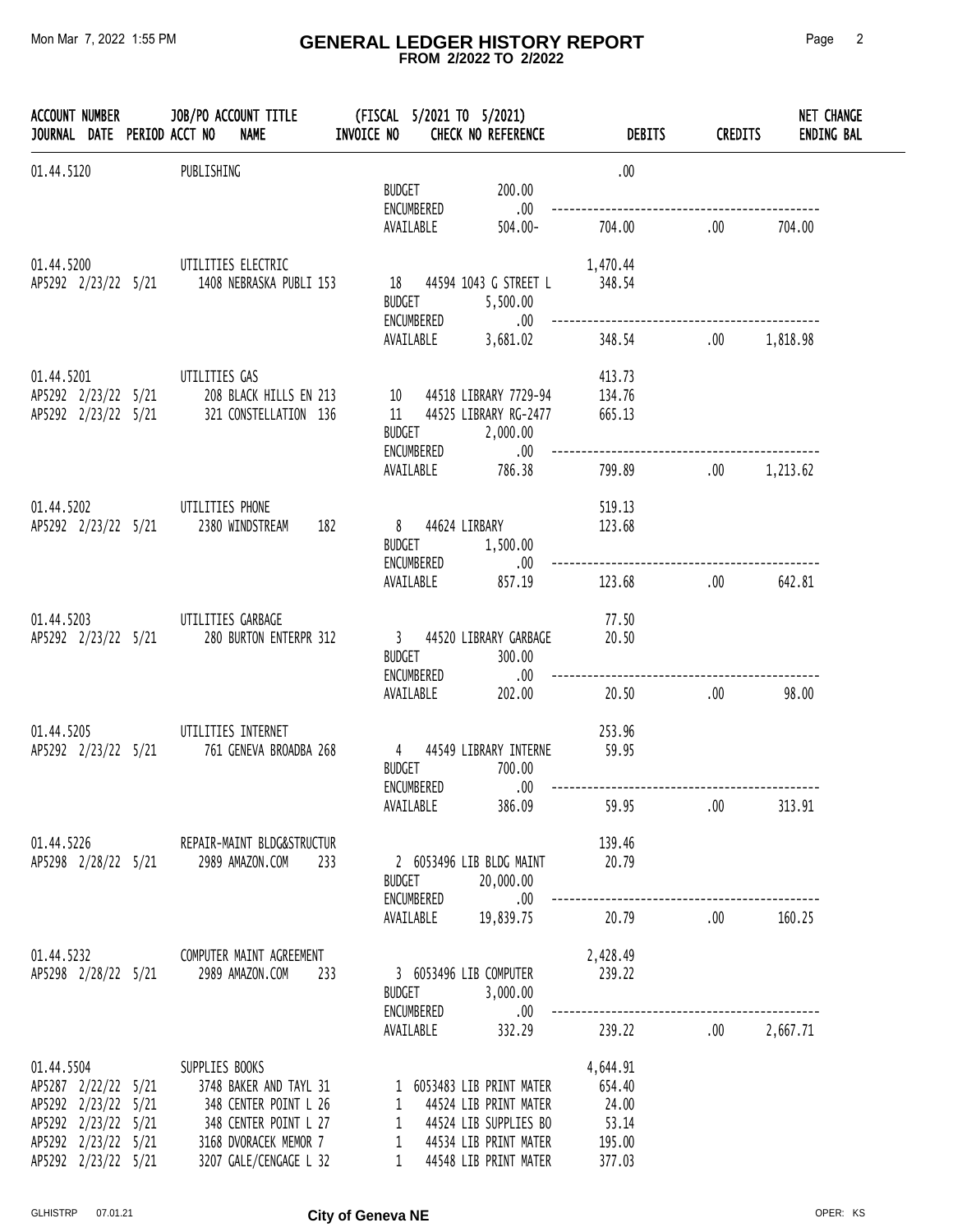#### Mon Mar 7, 2022 1:55 PM **GENERAL LEDGER HISTORY REPORT** Page 2  **FROM 2/2022 TO 2/2022**

|                                   |  | <b>NAME</b><br>JOURNAL DATE PERIOD ACCT NO                                                                                                                                                                                               | INVOICE NO |                                          | CHECK NO REFERENCE                                                                                                                    | <b>DEBITS</b>                                            | <b>CREDITS</b> | <b>NET CHANGE</b><br><b>ENDING BAL</b> |
|-----------------------------------|--|------------------------------------------------------------------------------------------------------------------------------------------------------------------------------------------------------------------------------------------|------------|------------------------------------------|---------------------------------------------------------------------------------------------------------------------------------------|----------------------------------------------------------|----------------|----------------------------------------|
| 01.44.5120                        |  | PUBLISHING                                                                                                                                                                                                                               |            |                                          |                                                                                                                                       | .00.                                                     |                |                                        |
|                                   |  |                                                                                                                                                                                                                                          |            | <b>BUDGET</b><br>ENCUMBERED<br>AVAILABLE | 200.00<br>.00<br>$504.00 -$                                                                                                           | 704.00                                                   | .00.           | 704.00                                 |
| 01.44.5200                        |  | UTILITIES ELECTRIC<br>AP5292 2/23/22 5/21 1408 NEBRASKA PUBLI 153                                                                                                                                                                        |            | <b>BUDGET</b>                            | 18 44594 1043 G STREET L<br>5,500.00<br>ENCUMBERED .00                                                                                | 1,470.44<br>348.54                                       |                |                                        |
|                                   |  |                                                                                                                                                                                                                                          |            | AVAILABLE                                | 3,681.02                                                                                                                              | 348.54                                                   | .00            | 1,818.98                               |
| 01.44.5201<br>AP5292 2/23/22 5/21 |  | UTILITIES GAS<br>AP5292 2/23/22 5/21 208 BLACK HILLS EN 213<br>321 CONSTELLATION 136                                                                                                                                                     |            |                                          | 10 44518 LIBRARY 7729-94<br>11 44525 LIBRARY RG-2477<br>BUDGET 2,000.00                                                               | 413.73<br>134.76<br>665.13                               |                |                                        |
|                                   |  |                                                                                                                                                                                                                                          |            |                                          | ENCUMBERED .00<br>AVAILABLE 786.38                                                                                                    | 799.89                                                   | .00            | 1,213.62                               |
| 01.44.5202                        |  | UTILITIES PHONE<br>AP5292 2/23/22 5/21 2380 WINDSTREAM                                                                                                                                                                                   | 182        |                                          | 8 44624 LIRBARY<br>BUDGET 1,500.00<br>ENCUMBERED .00                                                                                  | 519.13<br>123.68                                         |                |                                        |
|                                   |  |                                                                                                                                                                                                                                          |            | AVAILABLE                                | 857.19                                                                                                                                | 123.68                                                   | .00.           | 642.81                                 |
| 01.44.5203                        |  | UTILITIES GARBAGE<br>AP5292 2/23/22 5/21 280 BURTON ENTERPR 312                                                                                                                                                                          |            | <b>BUDGET</b>                            | 3 44520 LIBRARY GARBAGE<br>300.00                                                                                                     | 77.50<br>20.50                                           |                |                                        |
|                                   |  |                                                                                                                                                                                                                                          |            |                                          | ENCUMBERED .00<br>AVAILABLE 202.00                                                                                                    | 20.50                                                    | .00.           | 98.00                                  |
| 01.44.5205                        |  | UTILITIES INTERNET<br>AP5292 2/23/22 5/21 761 GENEVA BROADBA 268                                                                                                                                                                         |            | ENCUMBERED                               | 4 44549 LIBRARY INTERNE 59.95<br>BUDGET 700.00<br>.00                                                                                 | 253.96                                                   |                |                                        |
|                                   |  |                                                                                                                                                                                                                                          |            | AVAILABLE                                | 386.09                                                                                                                                | 59.95                                                    | $.00\,$        | 313.91                                 |
|                                   |  | 01.44.5226 REPAIR-MAINT BLDG&STRUCTUR<br>AP5298 2/28/22 5/21 2989 AMAZON.COM 233                                                                                                                                                         |            | <b>BUDGET</b>                            | 2 6053496 LIB BLDG MAINT 20.79<br>20,000.00                                                                                           | 139.46                                                   |                |                                        |
|                                   |  |                                                                                                                                                                                                                                          |            |                                          |                                                                                                                                       |                                                          |                | 160.25                                 |
|                                   |  | 01.44.5232 COMPUTER MAINT AGREEMENT<br>AP5298 2/28/22 5/21 2989 AMAZON.COM 233                                                                                                                                                           |            | <b>BUDGET</b><br>ENCUMBERED              | 3 6053496 LIB COMPUTER<br>3,000.00<br>$.00\,$                                                                                         | 2,428.49<br>239.22                                       |                |                                        |
|                                   |  |                                                                                                                                                                                                                                          |            |                                          | AVAILABLE 332.29                                                                                                                      | 239.22 .00 2,667.71                                      |                |                                        |
| AP5292 2/23/22 5/21               |  | 01.44.5504 SUPPLIES BOOKS<br>AP5287 2/22/22 5/21 3748 BAKER AND TAYL 31<br>AP5292 2/23/22 5/21 348 CENTER POINT L 26<br>AP5292 2/23/22 5/21 348 CENTER POINT L 27<br>AP5292 2/23/22 5/21 3168 DVORACEK MEMOR 7<br>3207 GALE/CENGAGE L 32 |            |                                          | 1 6053483 LIB PRINT MATER<br>1 44524 LIB PRINT MATER<br>1 44524 LIB SUPPLIES BO<br>1 44534 LIB PRINT MATER<br>1 44548 LIB PRINT MATER | 4,644.91<br>654.40<br>24.00<br>53.14<br>195.00<br>377.03 |                |                                        |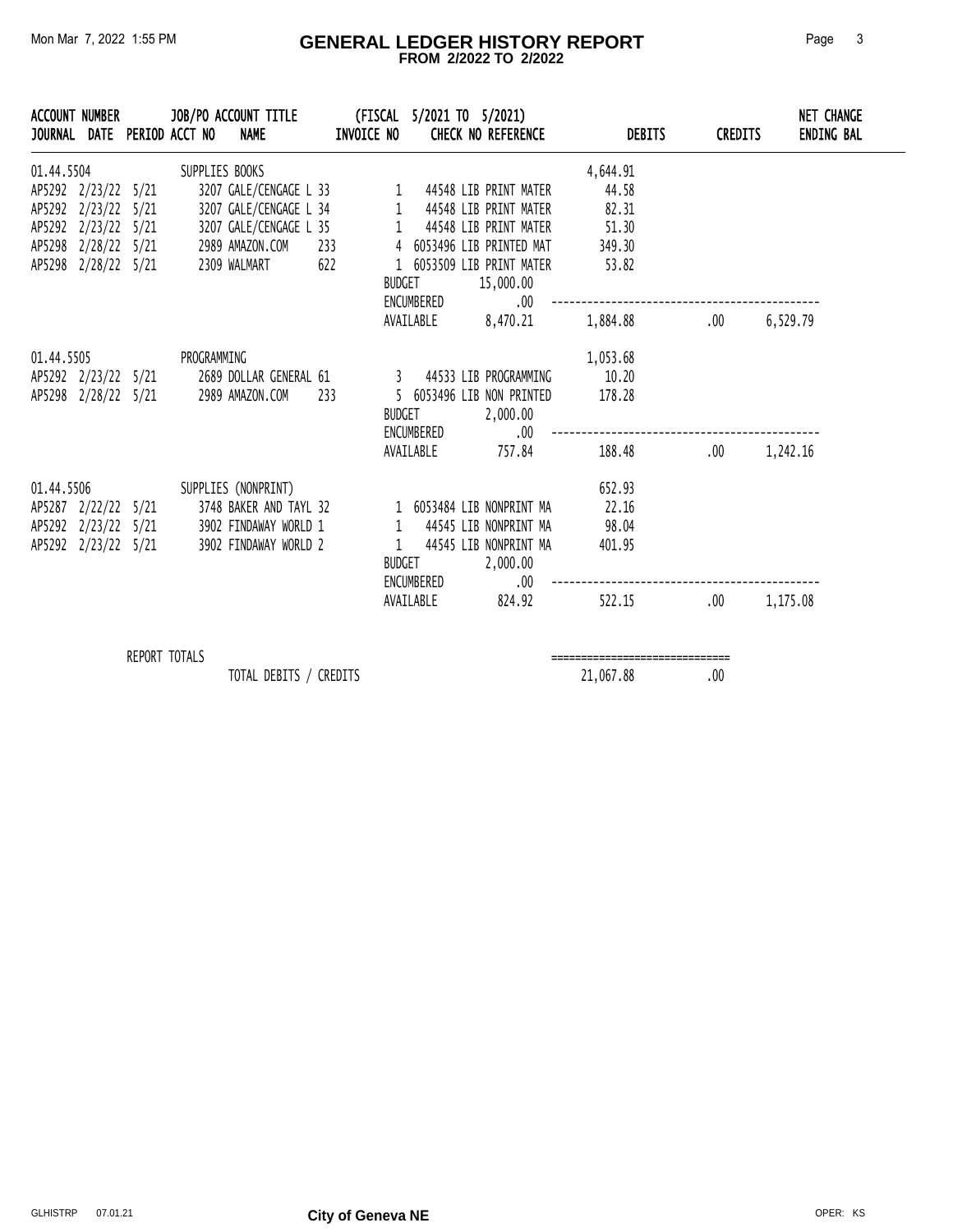#### Mon Mar 7, 2022 1:55 PM **GENERAL LEDGER HISTORY REPORT** Page 3  **FROM 2/2022 TO 2/2022**

|            | ACCOUNT NUMBER                                                                           |                      | JOURNAL DATE PERIOD ACCT NO NAME | JOB/PO ACCOUNT TITLE (FISCAL 5/2021 TO 5/2021)                                                                                                                                                                                              |     | <b>INVOICE NO</b> |                                          | <b>CHECK NO REFERENCE</b>                                                    |                | <b>DEBITS</b>                                    | <b>CREDITS</b> | NET CHANGE<br><b>ENDING BAL</b> |
|------------|------------------------------------------------------------------------------------------|----------------------|----------------------------------|---------------------------------------------------------------------------------------------------------------------------------------------------------------------------------------------------------------------------------------------|-----|-------------------|------------------------------------------|------------------------------------------------------------------------------|----------------|--------------------------------------------------|----------------|---------------------------------|
| 01.44.5504 | AP5292 2/23/22 5/21<br>AP5292 2/23/22 5/21<br>AP5292 2/23/22 5/21<br>AP5298 2/28/22 5/21 |                      | SUPPLIES BOOKS                   | 3207 GALE/CENGAGE L 33 1 44548 LIB PRINT MATER<br>3207 GALE/CENGAGE L 34 1 44548 LIB PRINT MATER<br>3207 GALE/CENGAGE L 35 1 44548 LIB PRINT MATER<br>AP5298 2/28/22 5/21 2989 AMAZON.COM 233 4 6053496 LIB PRINTED MAT<br>2309 WALMART 622 |     | BUDGET            | ENCUMBERED                               | 1 6053509 LIB PRINT MATER<br>15,000.00<br>$.00\,$<br>AVAILABLE 8,470.21      | 82.31<br>53.82 | 4,644.91<br>44.58<br>51.30<br>349.30<br>1,884.88 | .00            | 6,529.79                        |
| 01.44.5505 | AP5298 2/28/22 5/21                                                                      |                      | PROGRAMMING                      | AP5292 2/23/22 5/21 2689 DOLLAR GENERAL 61 3 44533 LIB PROGRAMMING<br>2989 AMAZON.COM                                                                                                                                                       | 233 |                   | ENCUMBERED                               | 5 6053496 LIB NON PRINTED<br>BUDGET 2,000.00<br>.00.<br>AVAILABLE 757.84     | 178.28         | 1,053.68<br>10.20<br>188.48 .00 1,242.16         |                |                                 |
| 01.44.5506 |                                                                                          |                      |                                  | SUPPLIES (NONPRINT)<br>AP5287 2/22/22 5/21 3748 BAKER AND TAYL 32 1 6053484 LIB NONPRINT MA<br>AP5292  2/23/22  5/21  3902  FINDAWAY  WORLD  1   1<br>AP5292  2/23/22  5/21  3902  FINDAWAY  WORLD  2   1                                   |     |                   | <b>BUDGET</b><br>ENCUMBERED<br>AVAILABLE | 44545 LIB NONPRINT MA<br>44545 LIB NONPRINT MA<br>2,000.00<br>.00.<br>824.92 |                | 652.93<br>22.16<br>98.04<br>401.95<br>522.15     | .00            | 1,175.08                        |
|            |                                                                                          | <b>REPORT TOTALS</b> |                                  |                                                                                                                                                                                                                                             |     |                   |                                          |                                                                              |                |                                                  |                |                                 |

TOTAL DEBITS / CREDITS 21,067.88 .00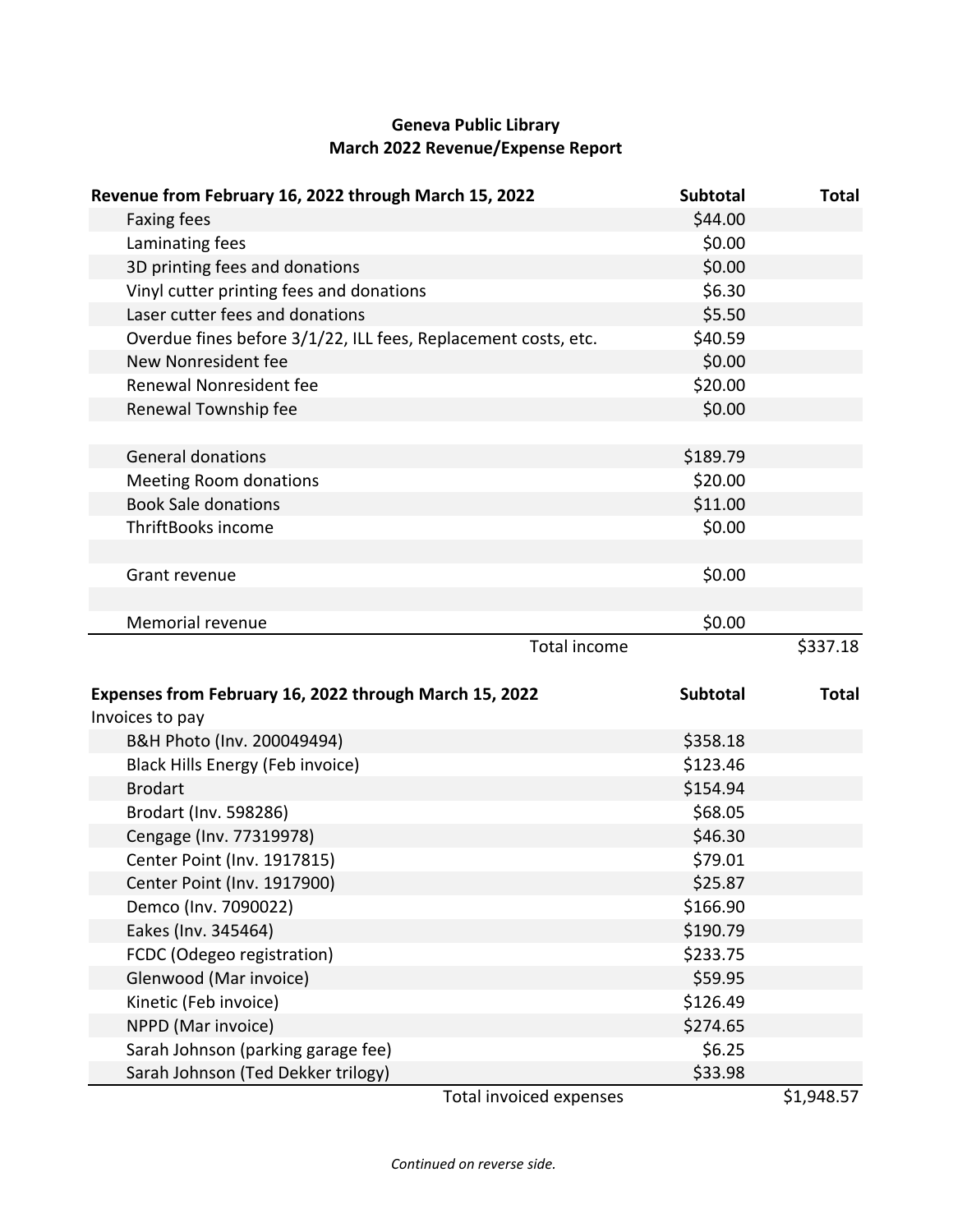# **Geneva Public Library March 2022 Revenue/Expense Report**

| Revenue from February 16, 2022 through March 15, 2022          | Subtotal        | <b>Total</b> |
|----------------------------------------------------------------|-----------------|--------------|
| <b>Faxing fees</b>                                             | \$44.00         |              |
| Laminating fees                                                | \$0.00          |              |
| 3D printing fees and donations                                 | \$0.00          |              |
| Vinyl cutter printing fees and donations                       | \$6.30          |              |
| Laser cutter fees and donations                                | \$5.50          |              |
| Overdue fines before 3/1/22, ILL fees, Replacement costs, etc. | \$40.59         |              |
| New Nonresident fee                                            | \$0.00          |              |
| Renewal Nonresident fee                                        | \$20.00         |              |
| Renewal Township fee                                           | \$0.00          |              |
|                                                                |                 |              |
| <b>General donations</b>                                       | \$189.79        |              |
| <b>Meeting Room donations</b>                                  | \$20.00         |              |
| <b>Book Sale donations</b>                                     | \$11.00         |              |
| ThriftBooks income                                             | \$0.00          |              |
|                                                                |                 |              |
| Grant revenue                                                  | \$0.00          |              |
|                                                                |                 |              |
| Memorial revenue                                               | \$0.00          |              |
| <b>Total income</b>                                            |                 |              |
|                                                                |                 | \$337.18     |
|                                                                |                 |              |
| Expenses from February 16, 2022 through March 15, 2022         | <b>Subtotal</b> | <b>Total</b> |
| Invoices to pay                                                |                 |              |
| B&H Photo (Inv. 200049494)                                     | \$358.18        |              |
| Black Hills Energy (Feb invoice)                               | \$123.46        |              |
| <b>Brodart</b>                                                 | \$154.94        |              |
| Brodart (Inv. 598286)                                          | \$68.05         |              |
| Cengage (Inv. 77319978)                                        | \$46.30         |              |
| Center Point (Inv. 1917815)                                    | \$79.01         |              |
| Center Point (Inv. 1917900)                                    | \$25.87         |              |
| Demco (Inv. 7090022)                                           | \$166.90        |              |
| Eakes (Inv. 345464)                                            | \$190.79        |              |
| FCDC (Odegeo registration)                                     | \$233.75        |              |
| Glenwood (Mar invoice)                                         | \$59.95         |              |
| Kinetic (Feb invoice)                                          | \$126.49        |              |
| NPPD (Mar invoice)                                             | \$274.65        |              |
| Sarah Johnson (parking garage fee)                             | \$6.25          |              |
| Sarah Johnson (Ted Dekker trilogy)<br>Total invoiced expenses  | \$33.98         | \$1,948.57   |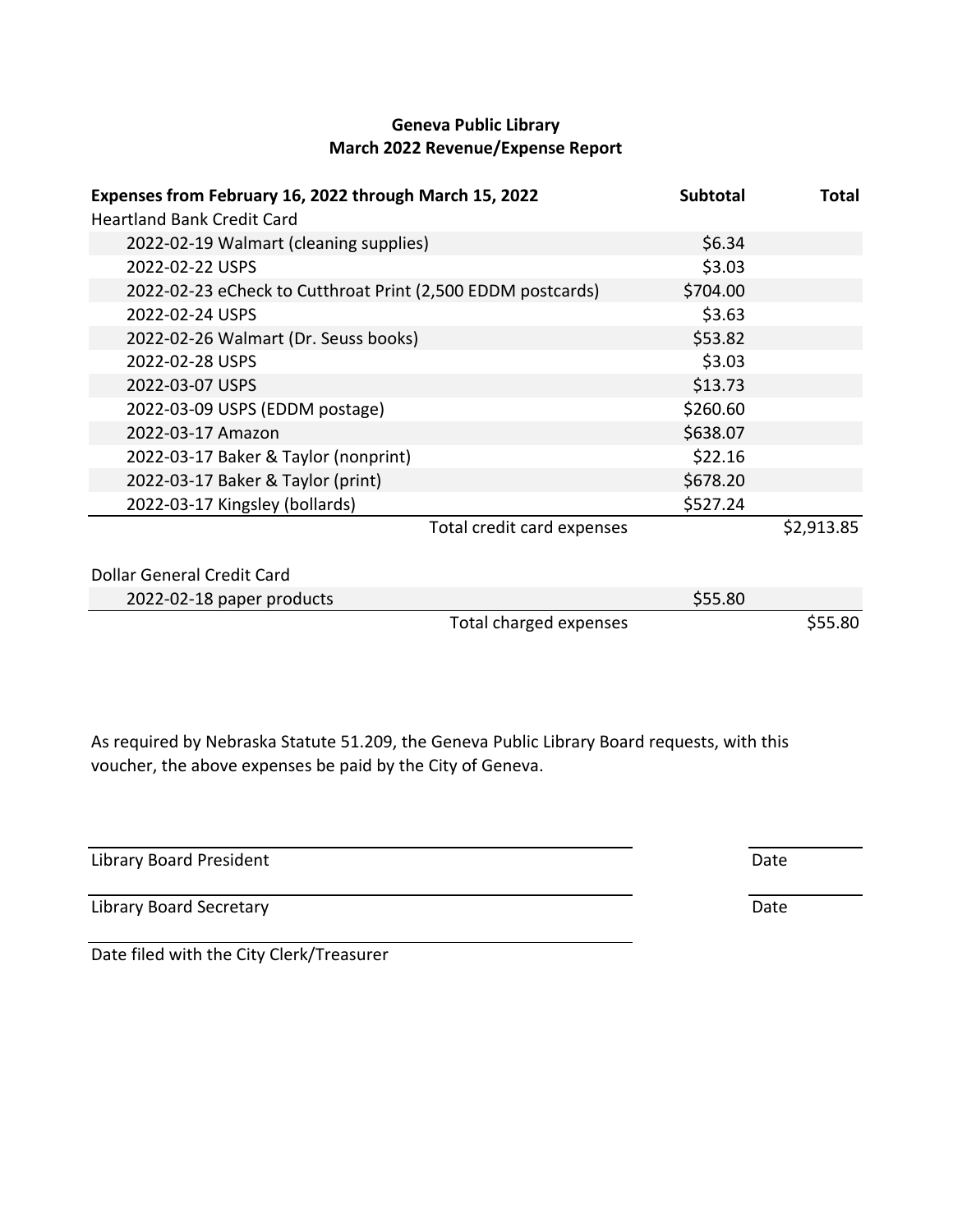## **Geneva Public Library March 2022 Revenue/Expense Report**

| Expenses from February 16, 2022 through March 15, 2022<br><b>Heartland Bank Credit Card</b> | <b>Subtotal</b> | <b>Total</b> |
|---------------------------------------------------------------------------------------------|-----------------|--------------|
| 2022-02-19 Walmart (cleaning supplies)                                                      | \$6.34          |              |
| 2022-02-22 USPS                                                                             | \$3.03          |              |
| 2022-02-23 eCheck to Cutthroat Print (2,500 EDDM postcards)                                 | \$704.00        |              |
| 2022-02-24 USPS                                                                             | \$3.63          |              |
| 2022-02-26 Walmart (Dr. Seuss books)                                                        | \$53.82         |              |
| 2022-02-28 USPS                                                                             | \$3.03          |              |
| 2022-03-07 USPS                                                                             | \$13.73         |              |
| 2022-03-09 USPS (EDDM postage)                                                              | \$260.60        |              |
| 2022-03-17 Amazon                                                                           | \$638.07        |              |
| 2022-03-17 Baker & Taylor (nonprint)                                                        | \$22.16         |              |
| 2022-03-17 Baker & Taylor (print)                                                           | \$678.20        |              |
| 2022-03-17 Kingsley (bollards)                                                              | \$527.24        |              |
| Total credit card expenses                                                                  |                 | \$2,913.85   |
| Dollar General Credit Card                                                                  |                 |              |
| 2022-02-18 paper products                                                                   | \$55.80         |              |
| Total charged expenses                                                                      |                 | \$55.80      |

As required by Nebraska Statute 51.209, the Geneva Public Library Board requests, with this voucher, the above expenses be paid by the City of Geneva.

Library Board President **Date** 

Library Board Secretary **Date** 

Date filed with the City Clerk/Treasurer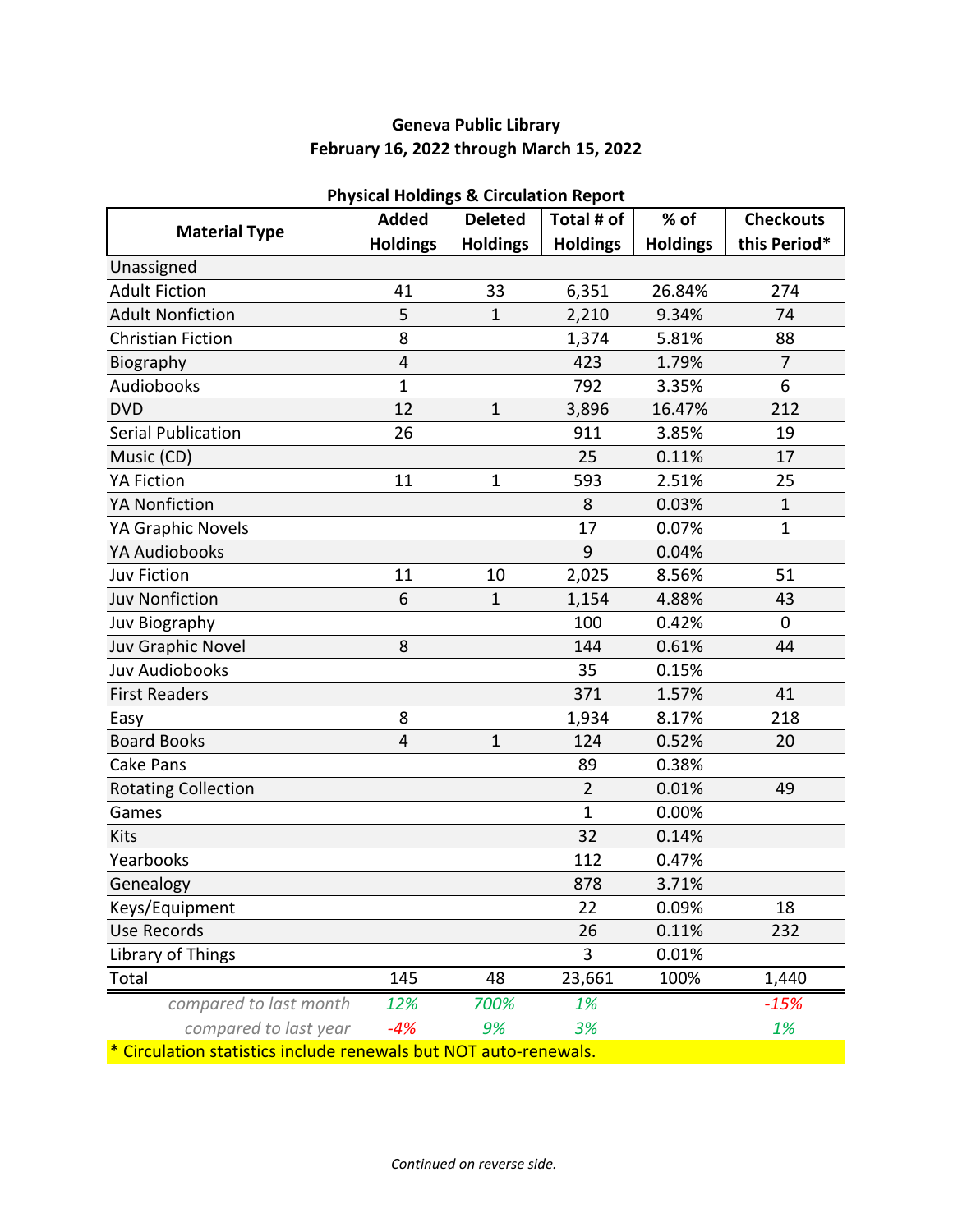## **Geneva Public Library February 16, 2022 through March 15, 2022**

|                                                                | <b>Added</b>    | n nysical nolungs & circulation Report<br><b>Deleted</b> | Total # of      | % of            | <b>Checkouts</b> |
|----------------------------------------------------------------|-----------------|----------------------------------------------------------|-----------------|-----------------|------------------|
| <b>Material Type</b>                                           | <b>Holdings</b> | <b>Holdings</b>                                          | <b>Holdings</b> | <b>Holdings</b> | this Period*     |
| Unassigned                                                     |                 |                                                          |                 |                 |                  |
| <b>Adult Fiction</b>                                           | 41              | 33                                                       | 6,351           | 26.84%          | 274              |
| <b>Adult Nonfiction</b>                                        | 5               | $\mathbf{1}$                                             | 2,210           | 9.34%           | 74               |
| <b>Christian Fiction</b>                                       | 8               |                                                          | 1,374           | 5.81%           | 88               |
| Biography                                                      | $\overline{4}$  |                                                          | 423             | 1.79%           | $\overline{7}$   |
| Audiobooks                                                     | 1               |                                                          | 792             | 3.35%           | 6                |
| <b>DVD</b>                                                     | 12              | $\mathbf 1$                                              | 3,896           | 16.47%          | 212              |
| <b>Serial Publication</b>                                      | 26              |                                                          | 911             | 3.85%           | 19               |
| Music (CD)                                                     |                 |                                                          | 25              | 0.11%           | 17               |
| <b>YA Fiction</b>                                              | 11              | $\mathbf{1}$                                             | 593             | 2.51%           | 25               |
| <b>YA Nonfiction</b>                                           |                 |                                                          | 8               | 0.03%           | $\mathbf{1}$     |
| YA Graphic Novels                                              |                 |                                                          | 17              | 0.07%           | $\mathbf{1}$     |
| <b>YA Audiobooks</b>                                           |                 |                                                          | 9               | 0.04%           |                  |
| <b>Juv Fiction</b>                                             | 11              | 10                                                       | 2,025           | 8.56%           | 51               |
| <b>Juv Nonfiction</b>                                          | 6               | $\mathbf{1}$                                             | 1,154           | 4.88%           | 43               |
| Juv Biography                                                  |                 |                                                          | 100             | 0.42%           | 0                |
| Juv Graphic Novel                                              | 8               |                                                          | 144             | 0.61%           | 44               |
| <b>Juv Audiobooks</b>                                          |                 |                                                          | 35              | 0.15%           |                  |
| <b>First Readers</b>                                           |                 |                                                          | 371             | 1.57%           | 41               |
| Easy                                                           | 8               |                                                          | 1,934           | 8.17%           | 218              |
| <b>Board Books</b>                                             | $\overline{4}$  | $\overline{1}$                                           | 124             | 0.52%           | 20               |
| Cake Pans                                                      |                 |                                                          | 89              | 0.38%           |                  |
| <b>Rotating Collection</b>                                     |                 |                                                          | $\overline{2}$  | 0.01%           | 49               |
| Games                                                          |                 |                                                          | $\mathbf{1}$    | 0.00%           |                  |
| Kits                                                           |                 |                                                          | 32              | 0.14%           |                  |
| Yearbooks                                                      |                 |                                                          | 112             | 0.47%           |                  |
| Genealogy                                                      |                 |                                                          | 878             | 3.71%           |                  |
| Keys/Equipment                                                 |                 |                                                          | 22              | 0.09%           | 18               |
| <b>Use Records</b>                                             |                 |                                                          | 26              | 0.11%           | 232              |
| Library of Things                                              |                 |                                                          | 3               | 0.01%           |                  |
| Total                                                          | 145             | 48                                                       | 23,661          | 100%            | 1,440            |
| compared to last month                                         | 12%             | 700%                                                     | 1%              |                 | $-15%$           |
| compared to last year                                          | $-4%$           | 9%                                                       | 3%              |                 | 1%               |
| Circulation statistics include renewals but NOT auto-renewals. |                 |                                                          |                 |                 |                  |

#### **Physical Holdings & Circulation Report**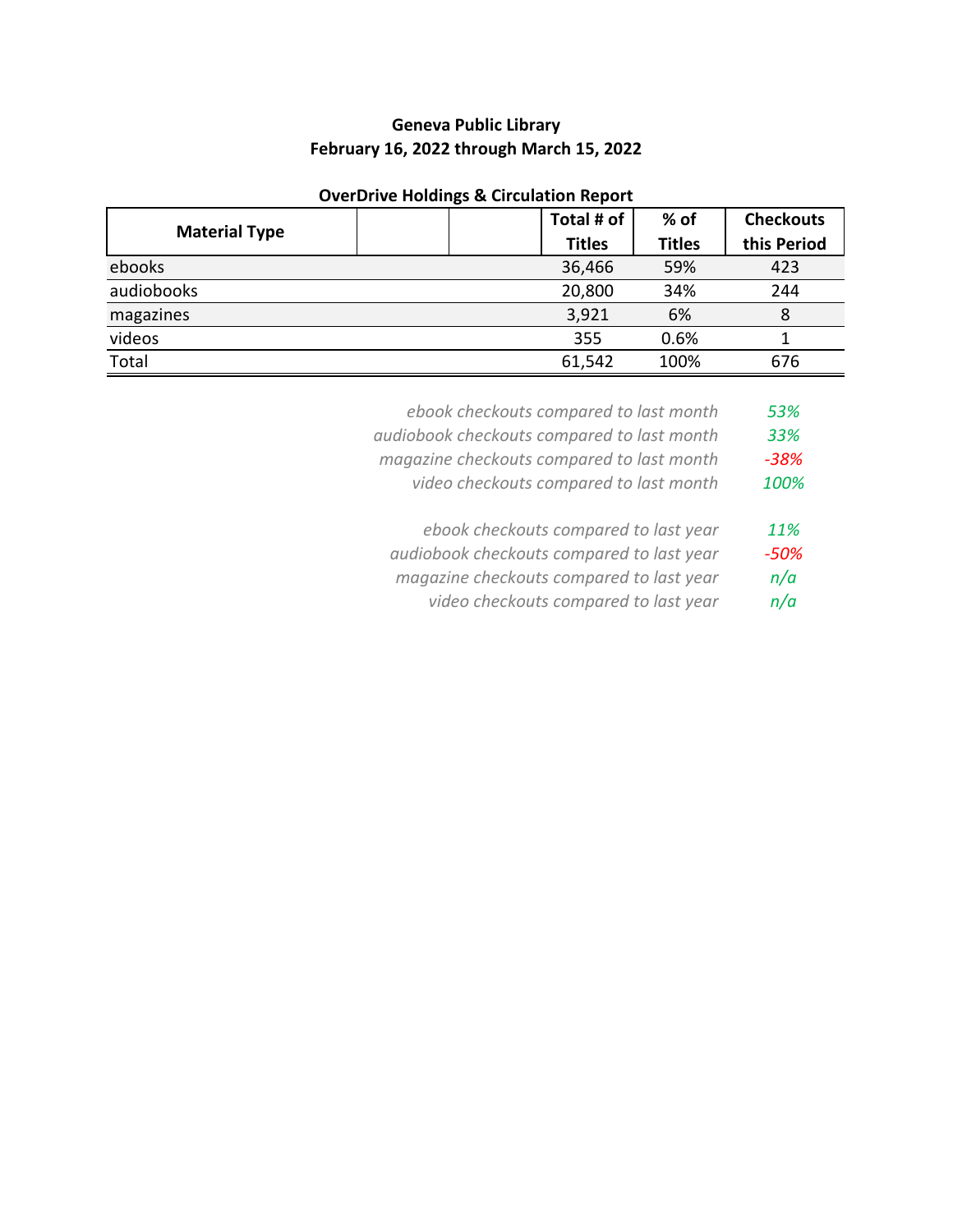## **Geneva Public Library February 16, 2022 through March 15, 2022**

## **OverDrive Holdings & Circulation Report**

|                      |  | Total # of    | $%$ of        | <b>Checkouts</b> |
|----------------------|--|---------------|---------------|------------------|
| <b>Material Type</b> |  | <b>Titles</b> | <b>Titles</b> | this Period      |
| ebooks               |  | 36,466        | 59%           | 423              |
| audiobooks           |  | 20,800        | 34%           | 244              |
| magazines            |  | 3,921         | 6%            | 8                |
| videos               |  | 355           | 0.6%          |                  |
| Total                |  | 61,542        | 100%          | 676              |

- *ebook checkouts compared to last month 53%*
- *audiobook checkouts compared to last month 33%*
- *magazine checkouts compared to last month -38%*
	- *video checkouts compared to last month 100%*
	- *ebook checkouts compared to last year 11%*
- *audiobook checkouts compared to last year -50%*
- *magazine checkouts compared to last year n/a*
	- *video checkouts compared to last year n/a*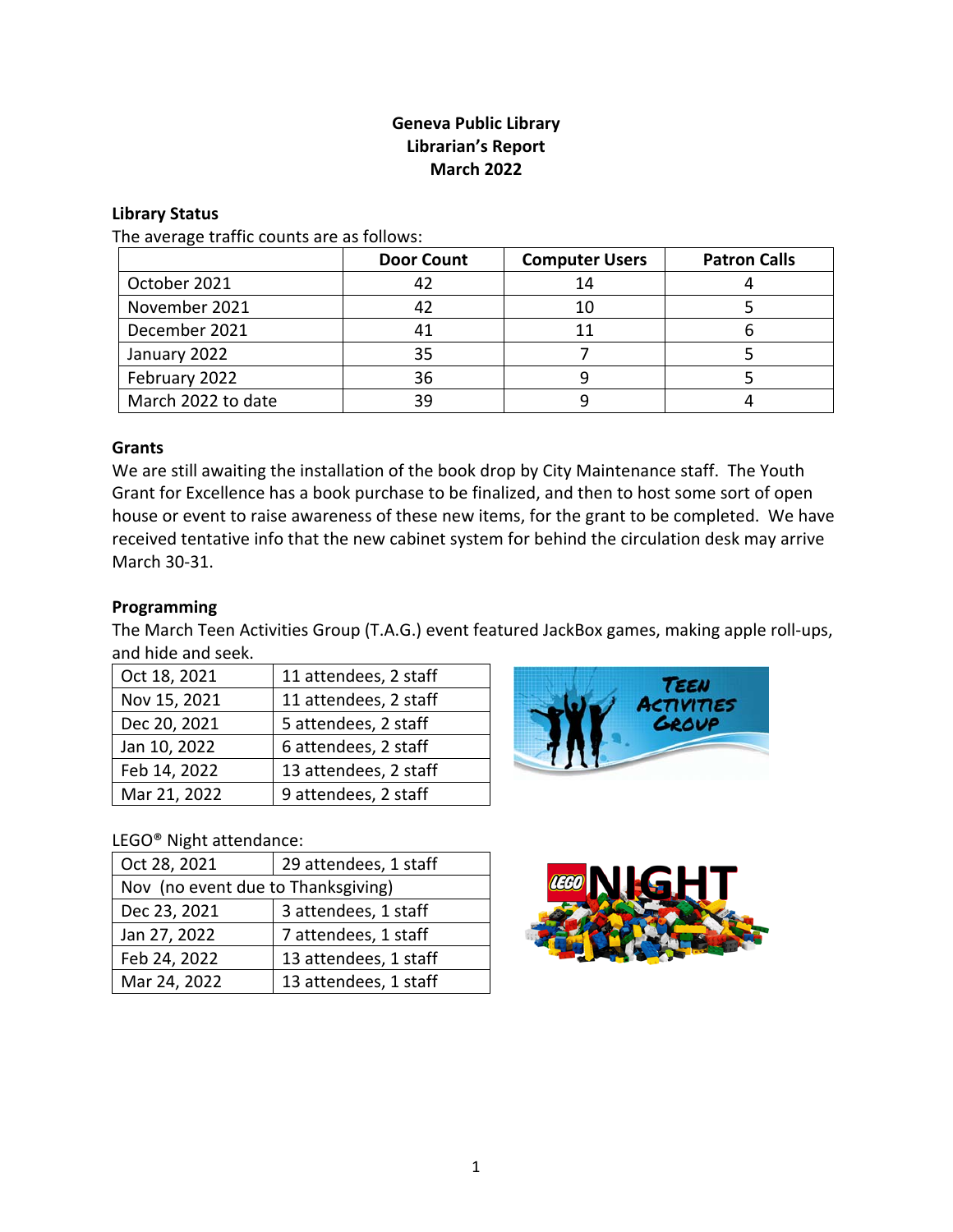## **Geneva Public Library Librarian's Report March 2022**

#### **Library Status**

The average traffic counts are as follows:

|                    | <b>Door Count</b> | <b>Computer Users</b> | <b>Patron Calls</b> |
|--------------------|-------------------|-----------------------|---------------------|
| October 2021       |                   | 14                    |                     |
| November 2021      | 42                | 10                    |                     |
| December 2021      | 41                |                       |                     |
| January 2022       | 35                |                       |                     |
| February 2022      | 36                |                       |                     |
| March 2022 to date | 39                |                       |                     |

#### **Grants**

We are still awaiting the installation of the book drop by City Maintenance staff. The Youth Grant for Excellence has a book purchase to be finalized, and then to host some sort of open house or event to raise awareness of these new items, for the grant to be completed. We have received tentative info that the new cabinet system for behind the circulation desk may arrive March 30-31.

### **Programming**

The March Teen Activities Group (T.A.G.) event featured JackBox games, making apple roll-ups, and hide and seek.

| Oct 18, 2021 | 11 attendees, 2 staff |
|--------------|-----------------------|
| Nov 15, 2021 | 11 attendees, 2 staff |
| Dec 20, 2021 | 5 attendees, 2 staff  |
| Jan 10, 2022 | 6 attendees, 2 staff  |
| Feb 14, 2022 | 13 attendees, 2 staff |
| Mar 21, 2022 | 9 attendees, 2 staff  |

## LEGO® Night attendance:

| Oct 28, 2021                       | 29 attendees, 1 staff |  |  |  |
|------------------------------------|-----------------------|--|--|--|
| Nov (no event due to Thanksgiving) |                       |  |  |  |
| Dec 23, 2021                       | 3 attendees, 1 staff  |  |  |  |
| Jan 27, 2022                       | 7 attendees, 1 staff  |  |  |  |
| Feb 24, 2022                       | 13 attendees, 1 staff |  |  |  |
| Mar 24, 2022                       | 13 attendees, 1 staff |  |  |  |



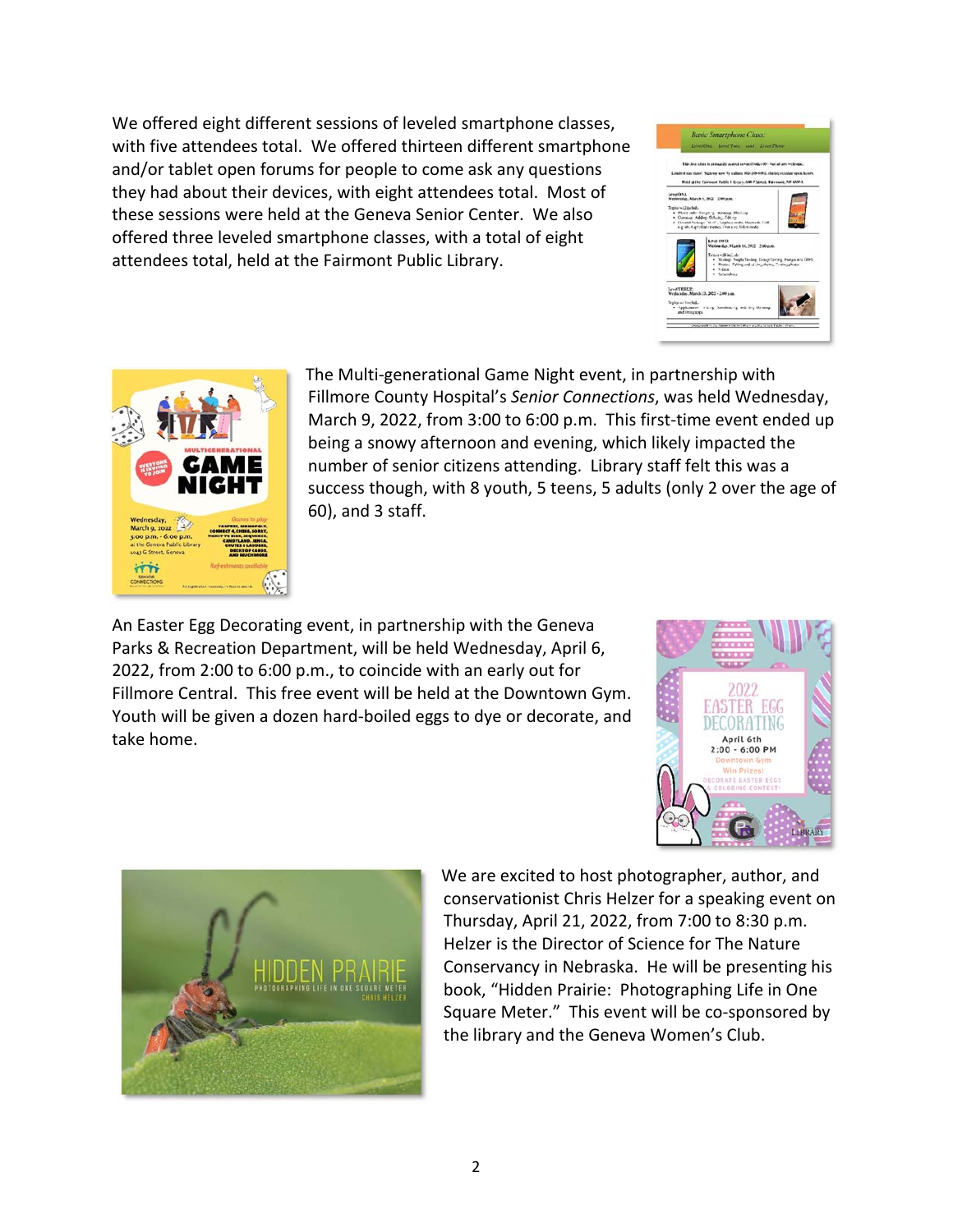We offered eight different sessions of leveled smartphone classes, with five attendees total. We offered thirteen different smartphone and/or tablet open forums for people to come ask any questions they had about their devices, with eight attendees total. Most of these sessions were held at the Geneva Senior Center. We also offered three leveled smartphone classes, with a total of eight attendees total, held at the Fairmont Public Library.





The Multi-generational Game Night event, in partnership with Fillmore County Hospital's *Senior Connections*, was held Wednesday, March 9, 2022, from 3:00 to 6:00 p.m. This first-time event ended up being a snowy afternoon and evening, which likely impacted the number of senior citizens attending. Library staff felt this was a success though, with 8 youth, 5 teens, 5 adults (only 2 over the age of 60), and 3 staff.

An Easter Egg Decorating event, in partnership with the Geneva Parks & Recreation Department, will be held Wednesday, April 6, 2022, from 2:00 to 6:00 p.m., to coincide with an early out for Fillmore Central. This free event will be held at the Downtown Gym. Youth will be given a dozen hard-boiled eggs to dye or decorate, and take home.





We are excited to host photographer, author, and conservationist Chris Helzer for a speaking event on Thursday, April 21, 2022, from 7:00 to 8:30 p.m. Helzer is the Director of Science for The Nature Conservancy in Nebraska. He will be presenting his book, "Hidden Prairie: Photographing Life in One Square Meter." This event will be co-sponsored by the library and the Geneva Women's Club.